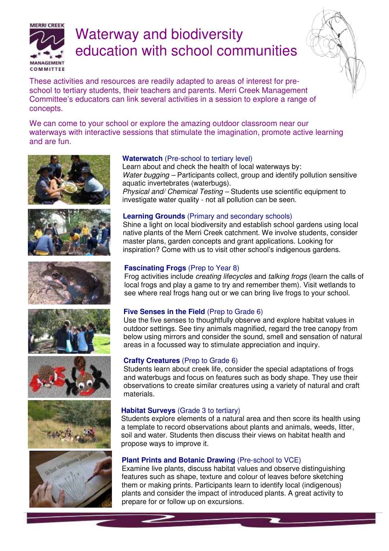

# Waterway and biodiversity education with school communities



These activities and resources are readily adapted to areas of interest for preschool to tertiary students, their teachers and parents. Merri Creek Management Committee's educators can link several activities in a session to explore a range of concepts.

We can come to your school or explore the amazing outdoor classroom near our waterways with interactive sessions that stimulate the imagination, promote active learning and are fun.















#### **Waterwatch** (Pre-school to tertiary level)

 Learn about and check the health of local waterways by: Water bugging – Participants collect, group and identify pollution sensitive aquatic invertebrates (waterbugs).

 Physical and/ Chemical Testing – Students use scientific equipment to investigate water quality - not all pollution can be seen.

#### **Learning Grounds** (Primary and secondary schools)

 Shine a light on local biodiversity and establish school gardens using local native plants of the Merri Creek catchment. We involve students, consider master plans, garden concepts and grant applications. Looking for inspiration? Come with us to visit other school's indigenous gardens.

#### **Fascinating Frogs** (Prep to Year 8)

 Frog activities include creating lifecycles and talking frogs (learn the calls of local frogs and play a game to try and remember them). Visit wetlands to see where real frogs hang out or we can bring live frogs to your school.

# **Five Senses in the Field (Prep to Grade 6)**

Use the five senses to thoughtfully observe and explore habitat values in outdoor settings. See tiny animals magnified, regard the tree canopy from below using mirrors and consider the sound, smell and sensation of natural areas in a focussed way to stimulate appreciation and inquiry.

#### **Crafty Creatures** (Prep to Grade 6)

Students learn about creek life, consider the special adaptations of frogs and waterbugs and focus on features such as body shape. They use their observations to create similar creatures using a variety of natural and craft materials.

#### **Habitat Surveys** (Grade 3 to tertiary)

Students explore elements of a natural area and then score its health using a template to record observations about plants and animals, weeds, litter, soil and water. Students then discuss their views on habitat health and propose ways to improve it.

# **Plant Prints and Botanic Drawing (Pre-school to VCE)**

 Examine live plants, discuss habitat values and observe distinguishing features such as shape, texture and colour of leaves before sketching them or making prints. Participants learn to identify local (indigenous) plants and consider the impact of introduced plants. A great activity to prepare for or follow up on excursions.